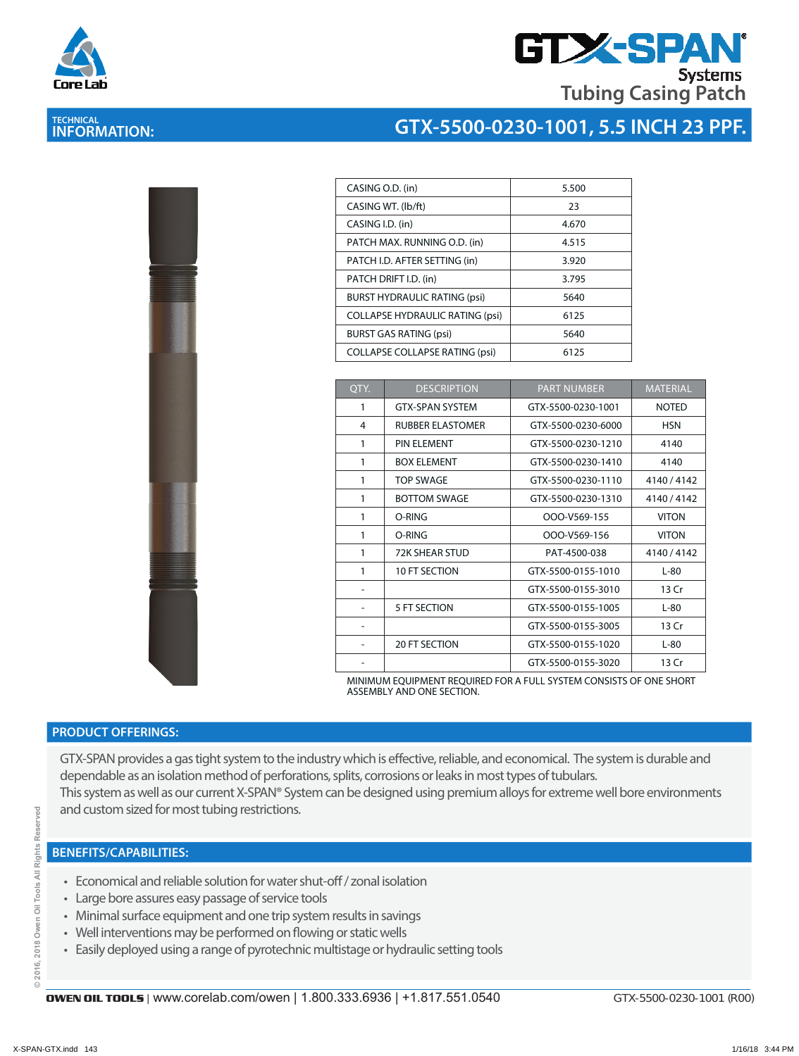



| CASING O.D. (in)                       | 5.500 |
|----------------------------------------|-------|
| CASING WT. (lb/ft)                     | 23    |
| CASING I.D. (in)                       | 4.670 |
| PATCH MAX. RUNNING O.D. (in)           | 4.515 |
| PATCH I.D. AFTER SETTING (in)          | 3.920 |
| PATCH DRIFT I.D. (in)                  | 3.795 |
| <b>BURST HYDRAULIC RATING (psi)</b>    | 5640  |
| <b>COLLAPSE HYDRAULIC RATING (psi)</b> | 6125  |
| <b>BURST GAS RATING (psi)</b>          | 5640  |
| <b>COLLAPSE COLLAPSE RATING (psi)</b>  | 6125  |

| OTY. | <b>DESCRIPTION</b>      | <b>PART NUMBER</b> | <b>MATERIAL</b> |
|------|-------------------------|--------------------|-----------------|
| 1    | <b>GTX-SPAN SYSTEM</b>  | GTX-5500-0230-1001 | <b>NOTED</b>    |
| 4    | <b>RUBBER ELASTOMER</b> | GTX-5500-0230-6000 | <b>HSN</b>      |
| 1    | PIN ELEMENT             | GTX-5500-0230-1210 | 4140            |
| 1    | <b>BOX ELEMENT</b>      | GTX-5500-0230-1410 | 4140            |
| 1    | <b>TOP SWAGE</b>        | GTX-5500-0230-1110 | 4140 / 4142     |
| 1    | <b>BOTTOM SWAGE</b>     | GTX-5500-0230-1310 | 4140 / 4142     |
| 1    | O-RING                  | OOO-V569-155       | <b>VITON</b>    |
| 1    | O-RING                  | OOO-V569-156       | <b>VITON</b>    |
| 1    | <b>72K SHEAR STUD</b>   | PAT-4500-038       | 4140 / 4142     |
| 1    | 10 FT SECTION           | GTX-5500-0155-1010 | $L-80$          |
|      |                         | GTX-5500-0155-3010 | 13 Cr           |
|      | 5 FT SECTION            | GTX-5500-0155-1005 | $L-80$          |
| ۰    |                         | GTX-5500-0155-3005 | 13 Cr           |
|      | <b>20 FT SECTION</b>    | GTX-5500-0155-1020 | $L-80$          |
|      |                         | GTX-5500-0155-3020 | 13 Cr           |

MINIMUM EQUIPMENT REQUIRED FOR A FULL SYSTEM CONSISTS OF ONE SHORT ASSEMBLY AND ONE SECTION.

### **PRODUCT OFFERINGS:**

GTX-SPAN provides a gas tight system to the industry which is effective, reliable, and economical. The system is durable and dependable as an isolation method of perforations, splits, corrosions or leaks in most types of tubulars. This system as well as our current X-SPAN® System can be designed using premium alloys for extreme well bore environments and custom sized for most tubing restrictions.

- Economical and reliable solution for water shut-off / zonal isolation
- Large bore assures easy passage of service tools
- Minimal surface equipment and one trip system results in savings
- Well interventions may be performed on flowing or static wells
- Easily deployed using a range of pyrotechnic multistage or hydraulic setting tools

GTX-5500-0230-1001 (R00)



## **TECHNICAL INFORMATION:**

ă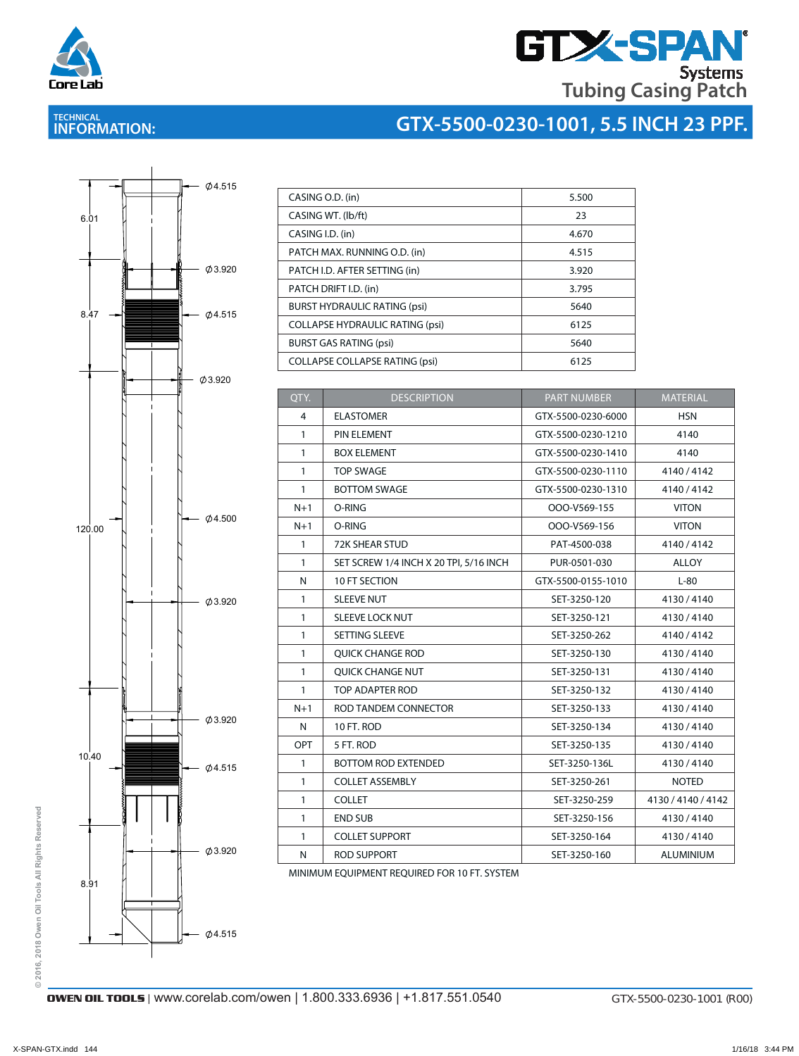

# **GTX-SPAN Tubing Casing Patch**

## **TECHNICAL INFORMATION:**





| CASING O.D. (in)                       | 5.500 |
|----------------------------------------|-------|
| CASING WT. (lb/ft)                     | 23    |
| CASING I.D. (in)                       | 4.670 |
| PATCH MAX. RUNNING O.D. (in)           | 4.515 |
| PATCH I.D. AFTER SETTING (in)          | 3.920 |
| PATCH DRIFT I.D. (in)                  | 3.795 |
| <b>BURST HYDRAULIC RATING (psi)</b>    | 5640  |
| <b>COLLAPSE HYDRAULIC RATING (psi)</b> | 6125  |
| <b>BURST GAS RATING (psi)</b>          | 5640  |
| <b>COLLAPSE COLLAPSE RATING (psi)</b>  | 6125  |

CASING ORDER OF THE CASING OF THE CASING OF THE CASING OF THE CASING OF THE CASING OF

| QTY.           | <b>DESCRIPTION</b>                     | <b>PART NUMBER</b> | <b>MATERIAL</b>    |
|----------------|----------------------------------------|--------------------|--------------------|
| $\overline{4}$ | <b>ELASTOMER</b>                       | GTX-5500-0230-6000 | <b>HSN</b>         |
| $\mathbf{1}$   | PIN ELEMENT                            | GTX-5500-0230-1210 | 4140               |
| $\mathbf{1}$   | <b>BOX ELEMENT</b>                     | GTX-5500-0230-1410 | 4140               |
| 1              | <b>TOP SWAGE</b>                       | GTX-5500-0230-1110 | 4140/4142          |
| $\mathbf{1}$   | <b>BOTTOM SWAGE</b>                    | GTX-5500-0230-1310 | 4140 / 4142        |
| $N+1$          | O-RING                                 | OOO-V569-155       | <b>VITON</b>       |
| $N+1$          | O-RING                                 | OOO-V569-156       | <b>VITON</b>       |
| $\mathbf{1}$   | <b>72K SHEAR STUD</b>                  | PAT-4500-038       | 4140/4142          |
| $\mathbf{1}$   | SET SCREW 1/4 INCH X 20 TPI, 5/16 INCH | PUR-0501-030       | <b>ALLOY</b>       |
| N              | 10 FT SECTION                          | GTX-5500-0155-1010 | $L-80$             |
| 1              | <b>SLEEVE NUT</b>                      | SET-3250-120       | 4130/4140          |
| $\mathbf{1}$   | <b>SLEEVE LOCK NUT</b>                 | SET-3250-121       | 4130/4140          |
| $\mathbf{1}$   | SETTING SLEEVE                         | SET-3250-262       | 4140/4142          |
| $\mathbf{1}$   | <b>QUICK CHANGE ROD</b>                | SET-3250-130       | 4130/4140          |
| $\mathbf{1}$   | <b>OUICK CHANGE NUT</b>                | SET-3250-131       | 4130/4140          |
| $\mathbf{1}$   | <b>TOP ADAPTER ROD</b>                 | SET-3250-132       | 4130/4140          |
| $N+1$          | ROD TANDEM CONNECTOR                   | SET-3250-133       | 4130/4140          |
| N              | 10 FT. ROD                             | SET-3250-134       | 4130/4140          |
| OPT            | 5 FT. ROD                              | SET-3250-135       | 4130/4140          |
| $\mathbf{1}$   | <b>BOTTOM ROD EXTENDED</b>             | SET-3250-136L      | 4130/4140          |
| $\mathbf{1}$   | <b>COLLET ASSEMBLY</b>                 | SET-3250-261       | <b>NOTED</b>       |
| $\mathbf{1}$   | <b>COLLET</b>                          | SET-3250-259       | 4130 / 4140 / 4142 |
| 1              | <b>END SUB</b>                         | SET-3250-156       | 4130/4140          |
| $\mathbf{1}$   | <b>COLLET SUPPORT</b>                  | SET-3250-164       | 4130/4140          |
| N              | ROD SUPPORT                            | SET-3250-160       | ALUMINIUM          |

MINIMUM EQUIPMENT REQUIRED FOR 10 FT. SYSTEM

© 2016, 2018 Owen Oil Tools All Rights Reserved **© 2016, 2018 Owen Oil Tools All Rights Reserved**

**OWEN OIL TOOLS** | www.corelab.com/owen | 1.800.333.6936 | +1.817.551.0540 GTX-5500-0230-1001 (R00)